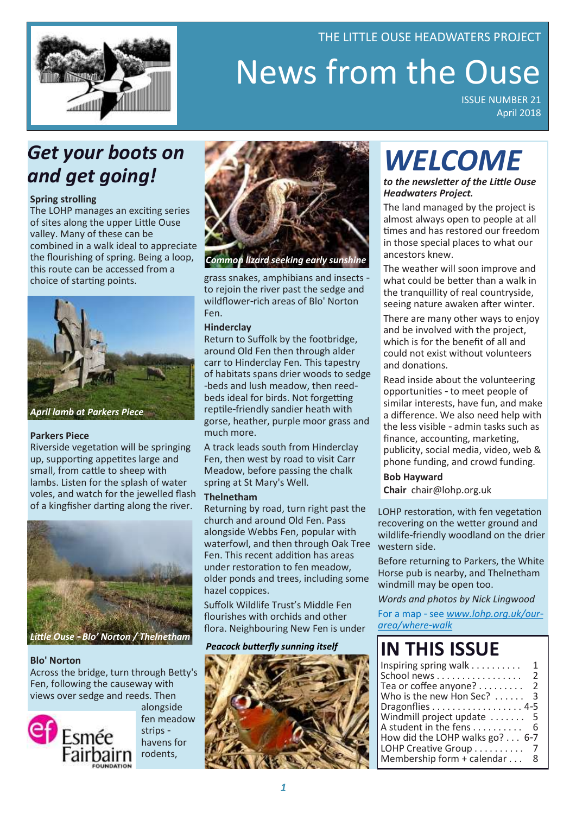

# News from the Ouse ISSUE NUMBER 21

THE LITTLE OUSE HEADWATERS PROJECT

April 2018

# *Get your boots on and get going!*

### **Spring strolling**

The LOHP manages an exciting series of sites along the upper Little Ouse valley. Many of these can be combined in a walk ideal to appreciate the flourishing of spring. Being a loop, this route can be accessed from a choice of starting points.



### **Parkers Piece**

Riverside vegetation will be springing up, supporting appetites large and small, from cattle to sheep with lambs. Listen for the splash of water voles, and watch for the jewelled flash of a kingfisher darting along the river.



### **Blo' Norton**

Across the bridge, turn through Betty's Fen, following the causeway with views over sedge and reeds. Then



alongside fen meadow strips havens for rodents,



*Common lizard seeking early sunshine*

grass snakes, amphibians and insects to rejoin the river past the sedge and wildflower-rich areas of Blo' Norton Fen.

### **Hinderclay**

Return to Suffolk by the footbridge, around Old Fen then through alder carr to Hinderclay Fen. This tapestry of habitats spans drier woods to sedge -beds and lush meadow, then reedbeds ideal for birds. Not forgetting reptile-friendly sandier heath with gorse, heather, purple moor grass and much more.

A track leads south from Hinderclay Fen, then west by road to visit Carr Meadow, before passing the chalk spring at St Mary's Well.

### **Thelnetham**

Returning by road, turn right past the church and around Old Fen. Pass alongside Webbs Fen, popular with waterfowl, and then through Oak Tree Fen. This recent addition has areas under restoration to fen meadow, older ponds and trees, including some hazel coppices.

Suffolk Wildlife Trust's Middle Fen flourishes with orchids and other flora. Neighbouring New Fen is under

*Peacock butterfly sunning itself* 



# *WELCOME*

*to the newsletter of the Little Ouse Headwaters Project.*

The land managed by the project is almost always open to people at all times and has restored our freedom in those special places to what our ancestors knew.

The weather will soon improve and what could be better than a walk in the tranquillity of real countryside, seeing nature awaken after winter.

There are many other ways to enjoy and be involved with the project, which is for the benefit of all and could not exist without volunteers and donations.

Read inside about the volunteering opportunities - to meet people of similar interests, have fun, and make a difference. We also need help with the less visible - admin tasks such as finance, accounting, marketing, publicity, social media, video, web & phone funding, and crowd funding.

**Bob Hayward Chair** chair@lohp.org.uk

LOHP restoration, with fen vegetation recovering on the wetter ground and wildlife-friendly woodland on the drier western side.

Before returning to Parkers, the White Horse pub is nearby, and Thelnetham windmill may be open too.

*Words and photos by Nick Lingwood*

For a map - see *[www.lohp.org.uk/our](http://www.lohp.org.uk/our-area/where-walk)[area/where-walk](http://www.lohp.org.uk/our-area/where-walk)*

# **IN THIS ISSUE**

| School news<br>Tea or coffee anyone?<br>Who is the new Hon Sec?<br>Dragonflies 4-5<br>Windmill project update<br>- 5<br>A student in the fens<br>How did the LOHP walks go? 6-7<br>LOHP Creative Group<br>Membership form + calendar | Inspiring spring walk $\ldots \ldots \ldots$ | 1              |
|--------------------------------------------------------------------------------------------------------------------------------------------------------------------------------------------------------------------------------------|----------------------------------------------|----------------|
|                                                                                                                                                                                                                                      |                                              | 2              |
|                                                                                                                                                                                                                                      |                                              | $\overline{2}$ |
|                                                                                                                                                                                                                                      |                                              | 3              |
|                                                                                                                                                                                                                                      |                                              |                |
|                                                                                                                                                                                                                                      |                                              |                |
|                                                                                                                                                                                                                                      |                                              | 6              |
|                                                                                                                                                                                                                                      |                                              |                |
|                                                                                                                                                                                                                                      |                                              | -7             |
|                                                                                                                                                                                                                                      |                                              | 8              |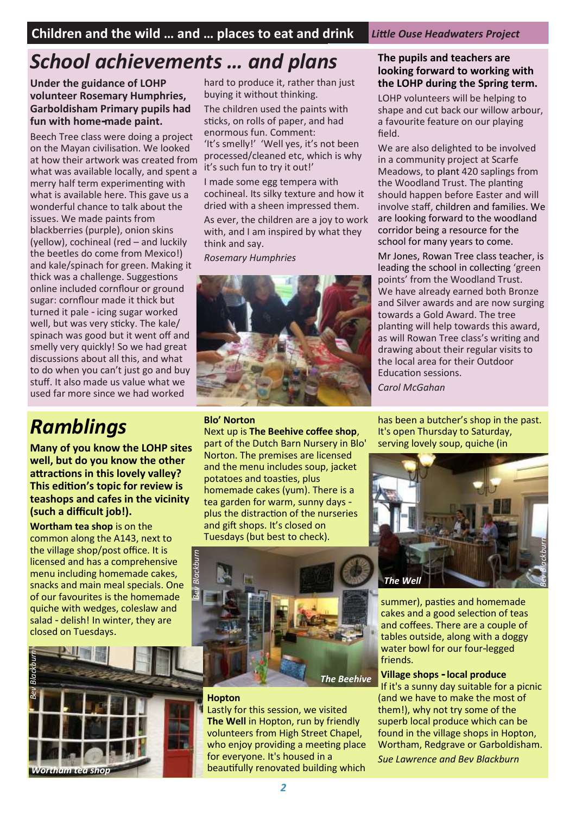# *School achievements … and plans*

**Under the guidance of LOHP volunteer Rosemary Humphries, Garboldisham Primary pupils had fun with home-made paint.** 

Beech Tree class were doing a project on the Mayan civilisation. We looked at how their artwork was created from what was available locally, and spent a merry half term experimenting with what is available here. This gave us a wonderful chance to talk about the issues. We made paints from blackberries (purple), onion skins (yellow), cochineal (red – and luckily the beetles do come from Mexico!) and kale/spinach for green. Making it thick was a challenge. Suggestions online included cornflour or ground sugar: cornflour made it thick but turned it pale - icing sugar worked well, but was very sticky. The kale/ spinach was good but it went off and smelly very quickly! So we had great discussions about all this, and what to do when you can't just go and buy stuff. It also made us value what we used far more since we had worked

hard to produce it, rather than just buying it without thinking.

The children used the paints with sticks, on rolls of paper, and had enormous fun. Comment: 'It's smelly!' 'Well yes, it's not been processed/cleaned etc, which is why it's such fun to try it out!'

I made some egg tempera with cochineal. Its silky texture and how it dried with a sheen impressed them.

As ever, the children are a joy to work with, and I am inspired by what they think and say.

*Rosemary Humphries*



# *Ramblings*

**Many of you know the LOHP sites well, but do you know the other attractions in this lovely valley? This edition's topic for review is teashops and cafes in the vicinity (such a difficult job!).**

**Wortham tea shop** is on the common along the A143, next to the village shop/post office. It is licensed and has a comprehensive menu including homemade cakes, snacks and main meal specials. One of our favourites is the homemade quiche with wedges, coleslaw and salad - delish! In winter, they are closed on Tuesdays.



### **Blo' Norton**

**Hopton**

*Bev Blackburn*

Next up is **The Beehive coffee shop**, part of the Dutch Barn Nursery in Blo' Norton. The premises are licensed and the menu includes soup, jacket potatoes and toasties, plus homemade cakes (yum). There is a tea garden for warm, sunny days plus the distraction of the nurseries and gift shops. It's closed on Tuesdays (but best to check).

### **The pupils and teachers are looking forward to working with the LOHP during the Spring term.**

LOHP volunteers will be helping to shape and cut back our willow arbour, a favourite feature on our playing field.

We are also delighted to be involved in a community project at Scarfe Meadows, to plant 420 saplings from the Woodland Trust. The planting should happen before Easter and will involve staff, children and families. We are looking forward to the woodland corridor being a resource for the school for many years to come.

Mr Jones, Rowan Tree class teacher, is leading the school in collecting 'green points' from the Woodland Trust. We have already earned both Bronze and Silver awards and are now surging towards a Gold Award. The tree planting will help towards this award, as will Rowan Tree class's writing and drawing about their regular visits to the local area for their Outdoor Education sessions.

*Carol McGahan*

has been a butcher's shop in the past. It's open Thursday to Saturday, serving lovely soup, quiche (in



summer), pasties and homemade cakes and a good selection of teas and coffees. There are a couple of tables outside, along with a doggy water bowl for our four-legged friends.

### **Village shops - local produce**

If it's a sunny day suitable for a picnic (and we have to make the most of them!), why not try some of the superb local produce which can be found in the village shops in Hopton, Wortham, Redgrave or Garboldisham. *Sue Lawrence and Bev Blackburn*

beautifully renovated building which

Lastly for this session, we visited **The Well** in Hopton, run by friendly volunteers from High Street Chapel, who enjoy providing a meeting place

*The Beehive*

for everyone. It's housed in a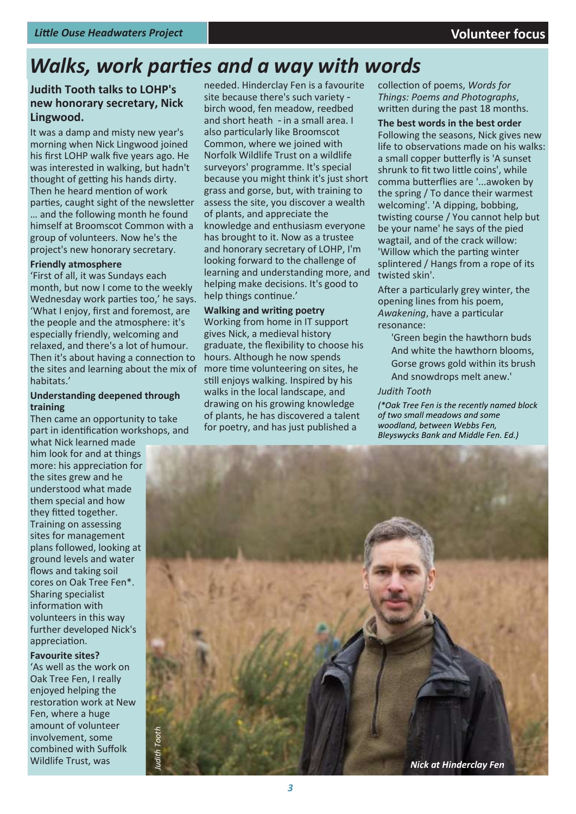# *Walks, work parties and a way with words*

### **Judith Tooth talks to LOHP's new honorary secretary, Nick Lingwood.**

It was a damp and misty new year's morning when Nick Lingwood joined his first LOHP walk five years ago. He was interested in walking, but hadn't thought of getting his hands dirty. Then he heard mention of work parties, caught sight of the newsletter … and the following month he found himself at Broomscot Common with a group of volunteers. Now he's the project's new honorary secretary.

### **Friendly atmosphere**

'First of all, it was Sundays each month, but now I come to the weekly Wednesday work parties too,' he says. 'What I enjoy, first and foremost, are the people and the atmosphere: it's especially friendly, welcoming and relaxed, and there's a lot of humour. Then it's about having a connection to the sites and learning about the mix of habitats.'

### **Understanding deepened through training**

Then came an opportunity to take part in identification workshops, and

what Nick learned made him look for and at things more: his appreciation for the sites grew and he understood what made them special and how they fitted together. Training on assessing sites for management plans followed, looking at ground levels and water flows and taking soil cores on Oak Tree Fen\*. Sharing specialist information with volunteers in this way further developed Nick's appreciation.

**Favourite sites?** 'As well as the work on Oak Tree Fen, I really enjoyed helping the restoration work at New Fen, where a huge amount of volunteer involvement, some combined with Suffolk Wildlife Trust, was

needed. Hinderclay Fen is a favourite site because there's such variety birch wood, fen meadow, reedbed and short heath - in a small area. I also particularly like Broomscot Common, where we joined with Norfolk Wildlife Trust on a wildlife surveyors' programme. It's special because you might think it's just short grass and gorse, but, with training to assess the site, you discover a wealth of plants, and appreciate the knowledge and enthusiasm everyone has brought to it. Now as a trustee and honorary secretary of LOHP, I'm looking forward to the challenge of learning and understanding more, and helping make decisions. It's good to help things continue.'

### **Walking and writing poetry**

Working from home in IT support gives Nick, a medieval history graduate, the flexibility to choose his hours. Although he now spends more time volunteering on sites, he still enjoys walking. Inspired by his walks in the local landscape, and drawing on his growing knowledge of plants, he has discovered a talent for poetry, and has just published a

collection of poems, *Words for Things: Poems and Photographs*, written during the past 18 months.

**The best words in the best order** Following the seasons, Nick gives new life to observations made on his walks: a small copper butterfly is 'A sunset shrunk to fit two little coins', while comma butterflies are '...awoken by the spring / To dance their warmest welcoming'. 'A dipping, bobbing, twisting course / You cannot help but be your name' he says of the pied wagtail, and of the crack willow: 'Willow which the parting winter splintered / Hangs from a rope of its twisted skin'.

After a particularly grey winter, the opening lines from his poem, *Awakening*, have a particular resonance:

'Green begin the hawthorn buds And white the hawthorn blooms, Gorse grows gold within its brush And snowdrops melt anew.'

### *Judith Tooth*

*(\*Oak Tree Fen is the recently named block of two small meadows and some woodland, between Webbs Fen, Bleyswycks Bank and Middle Fen. Ed.)*

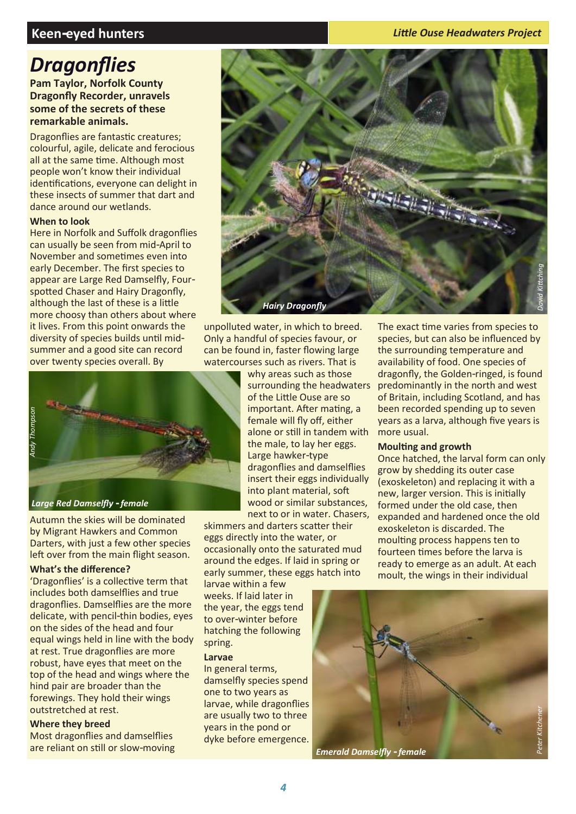### **Keen-eyed hunters**

### *Little Ouse Headwaters Project*

## *Dragonflies*

**Pam Taylor, Norfolk County Dragonfly Recorder, unravels some of the secrets of these remarkable animals.**

Dragonflies are fantastic creatures; colourful, agile, delicate and ferocious all at the same time. Although most people won't know their individual identifications, everyone can delight in these insects of summer that dart and dance around our wetlands.

### **When to look**

Here in Norfolk and Suffolk dragonflies can usually be seen from mid-April to November and sometimes even into early December. The first species to appear are Large Red Damselfly, Fourspotted Chaser and Hairy Dragonfly, although the last of these is a little more choosy than others about where it lives. From this point onwards the diversity of species builds until midsummer and a good site can record over twenty species overall. By



Autumn the skies will be dominated by Migrant Hawkers and Common Darters, with just a few other species left over from the main flight season.

### **What's the difference?**

'Dragonflies' is a collective term that includes both damselflies and true dragonflies. Damselflies are the more delicate, with pencil-thin bodies, eyes on the sides of the head and four equal wings held in line with the body at rest. True dragonflies are more robust, have eyes that meet on the top of the head and wings where the hind pair are broader than the forewings. They hold their wings outstretched at rest.

### **Where they breed**

Most dragonflies and damselflies are reliant on still or slow-moving



unpolluted water, in which to breed. Only a handful of species favour, or can be found in, faster flowing large watercourses such as rivers. That is

> why areas such as those surrounding the headwaters of the Little Ouse are so important. After mating, a female will fly off, either alone or still in tandem with the male, to lay her eggs. Large hawker-type dragonflies and damselflies insert their eggs individually into plant material, soft wood or similar substances, next to or in water. Chasers,

skimmers and darters scatter their eggs directly into the water, or occasionally onto the saturated mud around the edges. If laid in spring or early summer, these eggs hatch into

larvae within a few weeks. If laid later in the year, the eggs tend to over-winter before hatching the following spring.

### **Larvae**

In general terms, damselfly species spend one to two years as larvae, while dragonflies are usually two to three years in the pond or dyke before emergence.

The exact time varies from species to species, but can also be influenced by the surrounding temperature and availability of food. One species of dragonfly, the Golden-ringed, is found predominantly in the north and west of Britain, including Scotland, and has been recorded spending up to seven years as a larva, although five years is more usual.

### **Moulting and growth**

Once hatched, the larval form can only grow by shedding its outer case (exoskeleton) and replacing it with a new, larger version. This is initially formed under the old case, then expanded and hardened once the old exoskeleton is discarded. The moulting process happens ten to fourteen times before the larva is ready to emerge as an adult. At each moult, the wings in their individual



*Emerald Damselfly - female*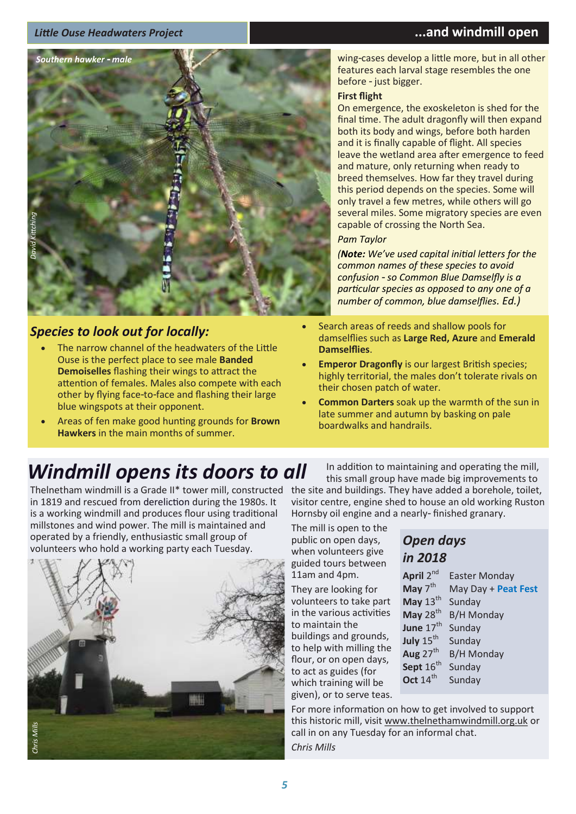### *Little Ouse Headwaters Project* **...and windmill open**



### *Species to look out for locally:*

- The narrow channel of the headwaters of the Little Ouse is the perfect place to see male **Banded Demoiselles** flashing their wings to attract the attention of females. Males also compete with each other by flying face-to-face and flashing their large blue wingspots at their opponent.
- Areas of fen make good hunting grounds for **Brown Hawkers** in the main months of summer.

wing-cases develop a little more, but in all other features each larval stage resembles the one before - just bigger.

### **First flight**

On emergence, the exoskeleton is shed for the final time. The adult dragonfly will then expand both its body and wings, before both harden and it is finally capable of flight. All species leave the wetland area after emergence to feed and mature, only returning when ready to breed themselves. How far they travel during this period depends on the species. Some will only travel a few metres, while others will go several miles. Some migratory species are even capable of crossing the North Sea.

### *Pam Taylor*

*(Note: We've used capital initial letters for the common names of these species to avoid confusion - so Common Blue Damselfly is a particular species as opposed to any one of a number of common, blue damselflies. Ed.)* 

- Search areas of reeds and shallow pools for damselflies such as **Large Red, Azure** and **Emerald Damselflies**.
- **Emperor Dragonfly** is our largest British species; highly territorial, the males don't tolerate rivals on their chosen patch of water.
- **Common Darters** soak up the warmth of the sun in late summer and autumn by basking on pale boardwalks and handrails.

# *Windmill opens its doors to all*

Thelnetham windmill is a Grade II\* tower mill, constructed the site and buildings. They have added a borehole, toilet, in 1819 and rescued from dereliction during the 1980s. It is a working windmill and produces flour using traditional millstones and wind power. The mill is maintained and operated by a friendly, enthusiastic small group of volunteers who hold a working party each Tuesday.



In addition to maintaining and operating the mill, this small group have made big improvements to visitor centre, engine shed to house an old working Ruston Hornsby oil engine and a nearly- finished granary.

The mill is open to the public on open days, when volunteers give guided tours between 11am and 4pm.

They are looking for volunteers to take part in the various activities to maintain the

buildings and grounds, to help with milling the flour, or on open days, to act as guides (for which training will be given), or to serve teas.

### *Open days in 2018*

| April 2 <sup>nd</sup> | <b>Easter Monday</b> |
|-----------------------|----------------------|
| May $7^{\text{th}}$   | May Day + Peat Fest  |
| May $13th$            | Sunday               |
| May $28th$            | <b>B/H Monday</b>    |
| June 17 <sup>th</sup> | Sunday               |
| July $15th$           | Sunday               |
| Aug $27th$            | <b>B/H Monday</b>    |
| Sept 16 <sup>th</sup> | Sunday               |
| Oct $14th$            | Sunday               |
|                       |                      |

For more information on how to get involved to support this historic mill, visit [www.thelnethamwindmill.org.uk](http://www.thelnethamwindmill.org.uk/) or call in on any Tuesday for an informal chat.

*Chris Mills*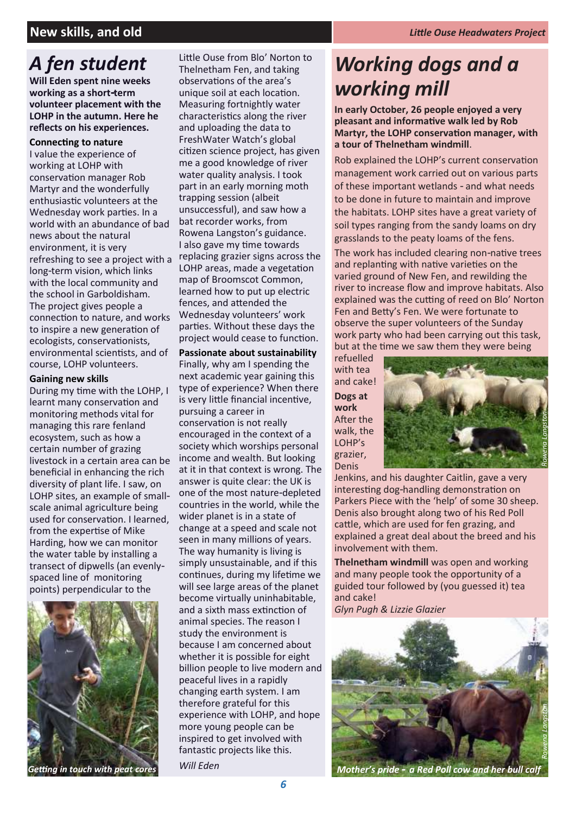### **New skills, and old** *Little Ouse Headwaters Project*

# *A fen student*

**Will Eden spent nine weeks working as a short-term volunteer placement with the LOHP in the autumn. Here he reflects on his experiences.** 

### **Connecting to nature**

I value the experience of working at LOHP with conservation manager Rob Martyr and the wonderfully enthusiastic volunteers at the Wednesday work parties. In a world with an abundance of bad news about the natural environment, it is very refreshing to see a project with a long-term vision, which links with the local community and the school in Garboldisham. The project gives people a connection to nature, and works to inspire a new generation of ecologists, conservationists, environmental scientists, and of course, LOHP volunteers.

### **Gaining new skills**

During my time with the LOHP, I learnt many conservation and monitoring methods vital for managing this rare fenland ecosystem, such as how a certain number of grazing livestock in a certain area can be beneficial in enhancing the rich diversity of plant life. I saw, on LOHP sites, an example of smallscale animal agriculture being used for conservation. I learned, from the expertise of Mike Harding, how we can monitor the water table by installing a transect of dipwells (an evenlyspaced line of monitoring points) perpendicular to the



Little Ouse from Blo' Norton to Thelnetham Fen, and taking observations of the area's unique soil at each location. Measuring fortnightly water characteristics along the river and uploading the data to FreshWater Watch's global citizen science project, has given me a good knowledge of river water quality analysis. I took part in an early morning moth trapping session (albeit unsuccessful), and saw how a bat recorder works, from Rowena Langston's guidance. I also gave my time towards replacing grazier signs across the LOHP areas, made a vegetation map of Broomscot Common, learned how to put up electric fences, and attended the Wednesday volunteers' work parties. Without these days the project would cease to function.

### **Passionate about sustainability**

Finally, why am I spending the next academic year gaining this type of experience? When there is very little financial incentive, pursuing a career in conservation is not really encouraged in the context of a society which worships personal income and wealth. But looking at it in that context is wrong. The answer is quite clear: the UK is one of the most nature-depleted countries in the world, while the wider planet is in a state of change at a speed and scale not seen in many millions of years. The way humanity is living is simply unsustainable, and if this continues, during my lifetime we will see large areas of the planet become virtually uninhabitable, and a sixth mass extinction of animal species. The reason I study the environment is because I am concerned about whether it is possible for eight billion people to live modern and peaceful lives in a rapidly changing earth system. I am therefore grateful for this experience with LOHP, and hope more young people can be inspired to get involved with fantastic projects like this.

# *Working dogs and a working mill*

**In early October, 26 people enjoyed a very pleasant and informative walk led by Rob Martyr, the LOHP conservation manager, with a tour of Thelnetham windmill**.

Rob explained the LOHP's current conservation management work carried out on various parts of these important wetlands - and what needs to be done in future to maintain and improve the habitats. LOHP sites have a great variety of soil types ranging from the sandy loams on dry grasslands to the peaty loams of the fens.

The work has included clearing non-native trees and replanting with native varieties on the varied ground of New Fen, and rewilding the river to increase flow and improve habitats. Also explained was the cutting of reed on Blo' Norton Fen and Betty's Fen. We were fortunate to observe the super volunteers of the Sunday work party who had been carrying out this task, but at the time we saw them they were being

refuelled with tea and cake! **Dogs at** 

**work** After the walk, the LOHP's grazier, Denis



Jenkins, and his daughter Caitlin, gave a very interesting dog-handling demonstration on Parkers Piece with the 'help' of some 30 sheep. Denis also brought along two of his Red Poll cattle, which are used for fen grazing, and explained a great deal about the breed and his involvement with them.

**Thelnetham windmill** was open and working and many people took the opportunity of a guided tour followed by (you guessed it) tea and cake!

*Glyn Pugh & Lizzie Glazier*



*Mother's pride - a Red Poll cow and her bull calf*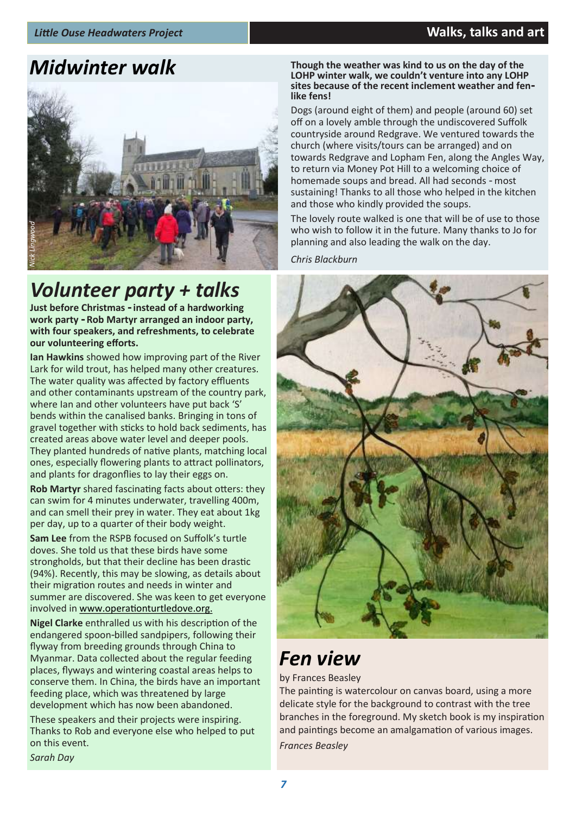

# *Volunteer party + talks*

**Just before Christmas - instead of a hardworking work party - Rob Martyr arranged an indoor party, with four speakers, and refreshments, to celebrate our volunteering efforts.**

**Ian Hawkins** showed how improving part of the River Lark for wild trout, has helped many other creatures. The water quality was affected by factory effluents and other contaminants upstream of the country park, where Ian and other volunteers have put back 'S' bends within the canalised banks. Bringing in tons of gravel together with sticks to hold back sediments, has created areas above water level and deeper pools. They planted hundreds of native plants, matching local ones, especially flowering plants to attract pollinators, and plants for dragonflies to lay their eggs on.

**Rob Martyr** shared fascinating facts about otters: they can swim for 4 minutes underwater, travelling 400m, and can smell their prey in water. They eat about 1kg per day, up to a quarter of their body weight.

**Sa**<br>dc<br>sti<br>(9 **Sam Lee** from the RSPB focused on Suffolk's turtle doves. She told us that these birds have some strongholds, but that their decline has been drastic (94%). Recently, this may be slowing, as details about their migration routes and needs in winter and summer are discovered. She was keen to get everyone involved in [www.operationturtledove.](http://www.operationturtledove)org.

**Nigel Clarke** enthralled us with his description of the endangered spoon-billed sandpipers, following their flyway from breeding grounds through China to Myanmar. Data collected about the regular feeding places, flyways and wintering coastal areas helps to conserve them. In China, the birds have an important feeding place, which was threatened by large development which has now been abandoned.

These speakers and their projects were inspiring. Thanks to Rob and everyone else who helped to put on this event.

*Sarah Day* 

### **Midwinter walk**<br> **Midwinter walk Though the weather was kind to us on the day of the**<br>
LOHP winter walk, we couldn't venture into any LOHP **sites because of the recent inclement weather and fenlike fens!**

Dogs (around eight of them) and people (around 60) set off on a lovely amble through the undiscovered Suffolk countryside around Redgrave. We ventured towards the church (where visits/tours can be arranged) and on towards Redgrave and Lopham Fen, along the Angles Way, to return via Money Pot Hill to a welcoming choice of homemade soups and bread. All had seconds - most sustaining! Thanks to all those who helped in the kitchen and those who kindly provided the soups.

The lovely route walked is one that will be of use to those who wish to follow it in the future. Many thanks to Jo for planning and also leading the walk on the day.

*Chris Blackburn*



# *Fen view*

by Frances Beasley

The painting is watercolour on canvas board, using a more delicate style for the background to contrast with the tree branches in the foreground. My sketch book is my inspiration and paintings become an amalgamation of various images.

*Frances Beasley*